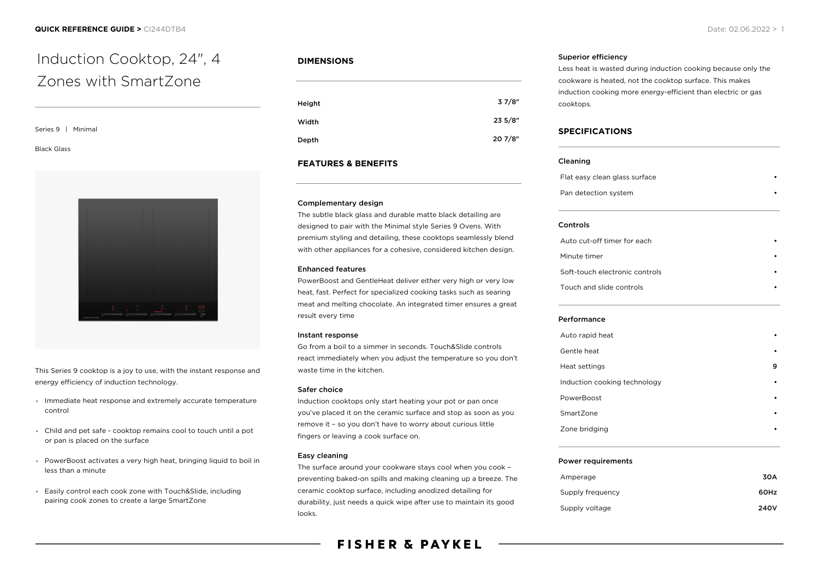## Series 9 | Minimal

#### Black Glass



This Series 9 cooktop is a joy to use, with the instant response and energy efficiency of induction technology.

- Immediate heat response and extremely accurate temperature control
- Child and pet safe cooktop remains cool to touch until a pot or pan is placed on the surface
- PowerBoost activates a very high heat, bringing liquid to boil in less than a minute
- Easily control each cook zone with Touch&Slide, including  $\bullet$ pairing cook zones to create a large SmartZone

## **DIMENSIONS**

| Height | 37/8"   |
|--------|---------|
| Width  | 235/8"  |
| Depth  | 20 7/8" |

## **FEATURES & BENEFITS**

#### Complementary design

The subtle black glass and durable matte black detailing are designed to pair with the Minimal style Series 9 Ovens. With premium styling and detailing, these cooktops seamlessly blend with other appliances for a cohesive, considered kitchen design.

## Enhanced features

PowerBoost and GentleHeat deliver either very high or very low heat, fast. Perfect for specialized cooking tasks such as searing meat and melting chocolate. An integrated timer ensures a great result every time

#### Instant response

Go from a boil to a simmer in seconds. Touch&Slide controls react immediately when you adjust the temperature so you don't waste time in the kitchen.

### Safer choice

Induction cooktops only start heating your pot or pan once you've placed it on the ceramic surface and stop as soon as you remove it – so you don't have to worry about curious little fingers or leaving a cook surface on.

### Easy cleaning

The surface around your cookware stays cool when you cook – preventing baked-on spills and making cleaning up a breeze. The ceramic cooktop surface, including anodized detailing for durability, just needs a quick wipe after use to maintain its good looks.

# **FISHER & PAYKEL**

#### Superior efficiency

Less heat is wasted during induction cooking because only the cookware is heated, not the cooktop surface. This makes induction cooking more energy-efficient than electric or gas cooktops.

#### **SPECIFICATIONS**

#### Cleaning

Flat easy clean glass surface Pan detection system

#### Controls

| Auto cut-off timer for each    |  |
|--------------------------------|--|
| Minute timer                   |  |
| Soft-touch electronic controls |  |
| Touch and slide controls       |  |

#### Performance

| Auto rapid heat              |   |
|------------------------------|---|
| Gentle heat                  |   |
| Heat settings                | 9 |
| Induction cooking technology |   |
| PowerBoost                   | ٠ |
| SmartZone                    |   |
| Zone bridging                |   |
|                              |   |

#### Power requirements

| Amperage         | 30A  |
|------------------|------|
| Supply frequency | 60Hz |
| Supply voltage   | 240V |